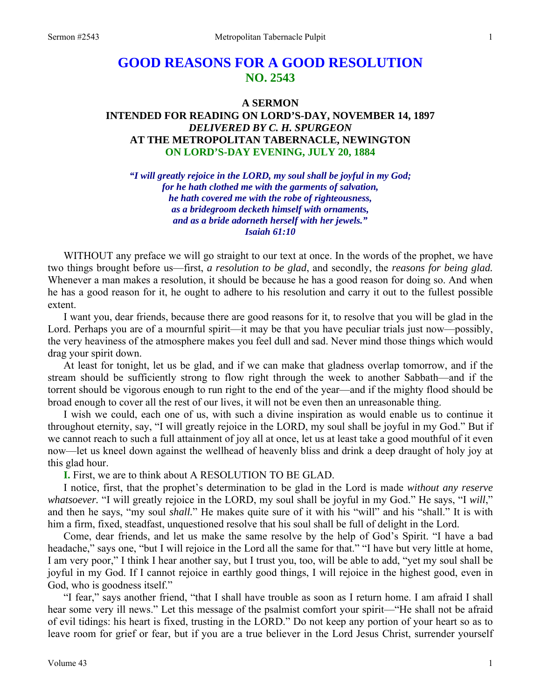# **GOOD REASONS FOR A GOOD RESOLUTION NO. 2543**

# **A SERMON**

# **INTENDED FOR READING ON LORD'S-DAY, NOVEMBER 14, 1897**  *DELIVERED BY C. H. SPURGEON*  **AT THE METROPOLITAN TABERNACLE, NEWINGTON ON LORD'S-DAY EVENING, JULY 20, 1884**

*"I will greatly rejoice in the LORD, my soul shall be joyful in my God; for he hath clothed me with the garments of salvation, he hath covered me with the robe of righteousness, as a bridegroom decketh himself with ornaments, and as a bride adorneth herself with her jewels." Isaiah 61:10* 

WITHOUT any preface we will go straight to our text at once. In the words of the prophet, we have two things brought before us—first, *a resolution to be glad*, and secondly, the *reasons for being glad.*  Whenever a man makes a resolution, it should be because he has a good reason for doing so. And when he has a good reason for it, he ought to adhere to his resolution and carry it out to the fullest possible extent.

 I want you, dear friends, because there are good reasons for it, to resolve that you will be glad in the Lord. Perhaps you are of a mournful spirit—it may be that you have peculiar trials just now—possibly, the very heaviness of the atmosphere makes you feel dull and sad. Never mind those things which would drag your spirit down.

 At least for tonight, let us be glad, and if we can make that gladness overlap tomorrow, and if the stream should be sufficiently strong to flow right through the week to another Sabbath—and if the torrent should be vigorous enough to run right to the end of the year—and if the mighty flood should be broad enough to cover all the rest of our lives, it will not be even then an unreasonable thing.

 I wish we could, each one of us, with such a divine inspiration as would enable us to continue it throughout eternity, say, "I will greatly rejoice in the LORD, my soul shall be joyful in my God." But if we cannot reach to such a full attainment of joy all at once, let us at least take a good mouthful of it even now—let us kneel down against the wellhead of heavenly bliss and drink a deep draught of holy joy at this glad hour.

**I.** First, we are to think about A RESOLUTION TO BE GLAD.

 I notice, first, that the prophet's determination to be glad in the Lord is made *without any reserve whatsoever.* "I will greatly rejoice in the LORD, my soul shall be joyful in my God." He says, "I *will*," and then he says, "my soul *shall.*" He makes quite sure of it with his "will" and his "shall." It is with him a firm, fixed, steadfast, unquestioned resolve that his soul shall be full of delight in the Lord.

 Come, dear friends, and let us make the same resolve by the help of God's Spirit. "I have a bad headache," says one, "but I will rejoice in the Lord all the same for that." "I have but very little at home, I am very poor," I think I hear another say, but I trust you, too, will be able to add, "yet my soul shall be joyful in my God. If I cannot rejoice in earthly good things, I will rejoice in the highest good, even in God, who is goodness itself."

 "I fear," says another friend, "that I shall have trouble as soon as I return home. I am afraid I shall hear some very ill news." Let this message of the psalmist comfort your spirit—"He shall not be afraid of evil tidings: his heart is fixed, trusting in the LORD." Do not keep any portion of your heart so as to leave room for grief or fear, but if you are a true believer in the Lord Jesus Christ, surrender yourself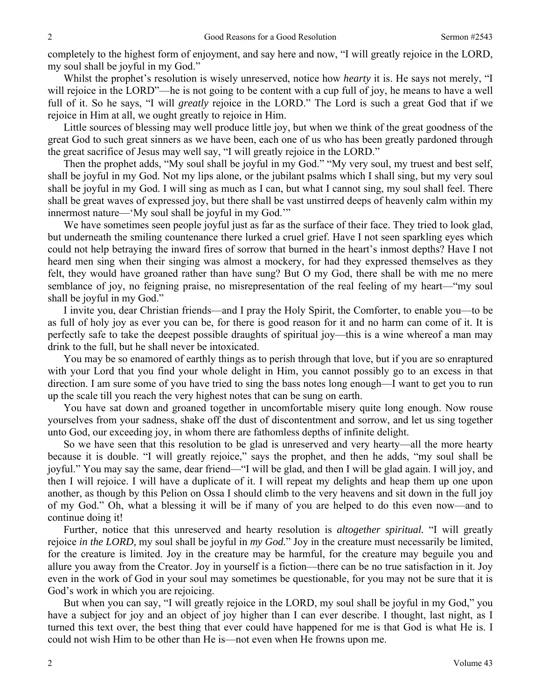completely to the highest form of enjoyment, and say here and now, "I will greatly rejoice in the LORD, my soul shall be joyful in my God."

 Whilst the prophet's resolution is wisely unreserved, notice how *hearty* it is. He says not merely, "I will rejoice in the LORD"—he is not going to be content with a cup full of joy, he means to have a well full of it. So he says, "I will *greatly* rejoice in the LORD." The Lord is such a great God that if we rejoice in Him at all, we ought greatly to rejoice in Him.

 Little sources of blessing may well produce little joy, but when we think of the great goodness of the great God to such great sinners as we have been, each one of us who has been greatly pardoned through the great sacrifice of Jesus may well say, "I will greatly rejoice in the LORD."

 Then the prophet adds, "My soul shall be joyful in my God." "My very soul, my truest and best self, shall be joyful in my God. Not my lips alone, or the jubilant psalms which I shall sing, but my very soul shall be joyful in my God. I will sing as much as I can, but what I cannot sing, my soul shall feel. There shall be great waves of expressed joy, but there shall be vast unstirred deeps of heavenly calm within my innermost nature—'My soul shall be joyful in my God.'"

 We have sometimes seen people joyful just as far as the surface of their face. They tried to look glad, but underneath the smiling countenance there lurked a cruel grief. Have I not seen sparkling eyes which could not help betraying the inward fires of sorrow that burned in the heart's inmost depths? Have I not heard men sing when their singing was almost a mockery, for had they expressed themselves as they felt, they would have groaned rather than have sung? But O my God, there shall be with me no mere semblance of joy, no feigning praise, no misrepresentation of the real feeling of my heart—"my soul shall be joyful in my God."

 I invite you, dear Christian friends—and I pray the Holy Spirit, the Comforter, to enable you—to be as full of holy joy as ever you can be, for there is good reason for it and no harm can come of it. It is perfectly safe to take the deepest possible draughts of spiritual joy—this is a wine whereof a man may drink to the full, but he shall never be intoxicated.

 You may be so enamored of earthly things as to perish through that love, but if you are so enraptured with your Lord that you find your whole delight in Him, you cannot possibly go to an excess in that direction. I am sure some of you have tried to sing the bass notes long enough—I want to get you to run up the scale till you reach the very highest notes that can be sung on earth.

 You have sat down and groaned together in uncomfortable misery quite long enough. Now rouse yourselves from your sadness, shake off the dust of discontentment and sorrow, and let us sing together unto God, our exceeding joy, in whom there are fathomless depths of infinite delight.

 So we have seen that this resolution to be glad is unreserved and very hearty—all the more hearty because it is double. "I will greatly rejoice," says the prophet, and then he adds, "my soul shall be joyful." You may say the same, dear friend—"I will be glad, and then I will be glad again. I will joy, and then I will rejoice. I will have a duplicate of it. I will repeat my delights and heap them up one upon another, as though by this Pelion on Ossa I should climb to the very heavens and sit down in the full joy of my God." Oh, what a blessing it will be if many of you are helped to do this even now—and to continue doing it!

 Further, notice that this unreserved and hearty resolution is *altogether spiritual.* "I will greatly rejoice *in the LORD,* my soul shall be joyful in *my God.*" Joy in the creature must necessarily be limited, for the creature is limited. Joy in the creature may be harmful, for the creature may beguile you and allure you away from the Creator. Joy in yourself is a fiction—there can be no true satisfaction in it. Joy even in the work of God in your soul may sometimes be questionable, for you may not be sure that it is God's work in which you are rejoicing.

 But when you can say, "I will greatly rejoice in the LORD, my soul shall be joyful in my God," you have a subject for joy and an object of joy higher than I can ever describe. I thought, last night, as I turned this text over, the best thing that ever could have happened for me is that God is what He is. I could not wish Him to be other than He is—not even when He frowns upon me.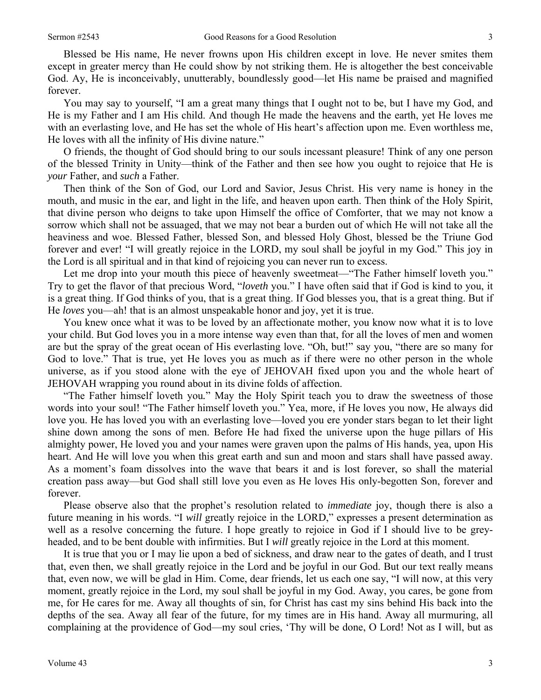Blessed be His name, He never frowns upon His children except in love. He never smites them except in greater mercy than He could show by not striking them. He is altogether the best conceivable God. Ay, He is inconceivably, unutterably, boundlessly good—let His name be praised and magnified forever.

 You may say to yourself, "I am a great many things that I ought not to be, but I have my God, and He is my Father and I am His child. And though He made the heavens and the earth, yet He loves me with an everlasting love, and He has set the whole of His heart's affection upon me. Even worthless me, He loves with all the infinity of His divine nature."

 O friends, the thought of God should bring to our souls incessant pleasure! Think of any one person of the blessed Trinity in Unity—think of the Father and then see how you ought to rejoice that He is *your* Father, and *such* a Father.

 Then think of the Son of God, our Lord and Savior, Jesus Christ. His very name is honey in the mouth, and music in the ear, and light in the life, and heaven upon earth. Then think of the Holy Spirit, that divine person who deigns to take upon Himself the office of Comforter, that we may not know a sorrow which shall not be assuaged, that we may not bear a burden out of which He will not take all the heaviness and woe. Blessed Father, blessed Son, and blessed Holy Ghost, blessed be the Triune God forever and ever! "I will greatly rejoice in the LORD, my soul shall be joyful in my God." This joy in the Lord is all spiritual and in that kind of rejoicing you can never run to excess.

 Let me drop into your mouth this piece of heavenly sweetmeat—"The Father himself loveth you." Try to get the flavor of that precious Word, "*loveth* you." I have often said that if God is kind to you, it is a great thing. If God thinks of you, that is a great thing. If God blesses you, that is a great thing. But if He *loves* you—ah! that is an almost unspeakable honor and joy, yet it is true.

 You knew once what it was to be loved by an affectionate mother, you know now what it is to love your child. But God loves you in a more intense way even than that, for all the loves of men and women are but the spray of the great ocean of His everlasting love. "Oh, but!" say you, "there are so many for God to love." That is true, yet He loves you as much as if there were no other person in the whole universe, as if you stood alone with the eye of JEHOVAH fixed upon you and the whole heart of JEHOVAH wrapping you round about in its divine folds of affection.

 "The Father himself loveth you*.*" May the Holy Spirit teach you to draw the sweetness of those words into your soul! "The Father himself loveth you." Yea, more, if He loves you now, He always did love you. He has loved you with an everlasting love—loved you ere yonder stars began to let their light shine down among the sons of men. Before He had fixed the universe upon the huge pillars of His almighty power, He loved you and your names were graven upon the palms of His hands, yea, upon His heart. And He will love you when this great earth and sun and moon and stars shall have passed away. As a moment's foam dissolves into the wave that bears it and is lost forever, so shall the material creation pass away—but God shall still love you even as He loves His only-begotten Son, forever and forever.

 Please observe also that the prophet's resolution related to *immediate* joy, though there is also a future meaning in his words. "I *will* greatly rejoice in the LORD," expresses a present determination as well as a resolve concerning the future. I hope greatly to rejoice in God if I should live to be greyheaded, and to be bent double with infirmities. But I *will* greatly rejoice in the Lord at this moment.

 It is true that you or I may lie upon a bed of sickness, and draw near to the gates of death, and I trust that, even then, we shall greatly rejoice in the Lord and be joyful in our God. But our text really means that, even now, we will be glad in Him. Come, dear friends, let us each one say, "I will now, at this very moment, greatly rejoice in the Lord, my soul shall be joyful in my God. Away, you cares, be gone from me, for He cares for me. Away all thoughts of sin, for Christ has cast my sins behind His back into the depths of the sea. Away all fear of the future, for my times are in His hand. Away all murmuring, all complaining at the providence of God—my soul cries, 'Thy will be done, O Lord! Not as I will, but as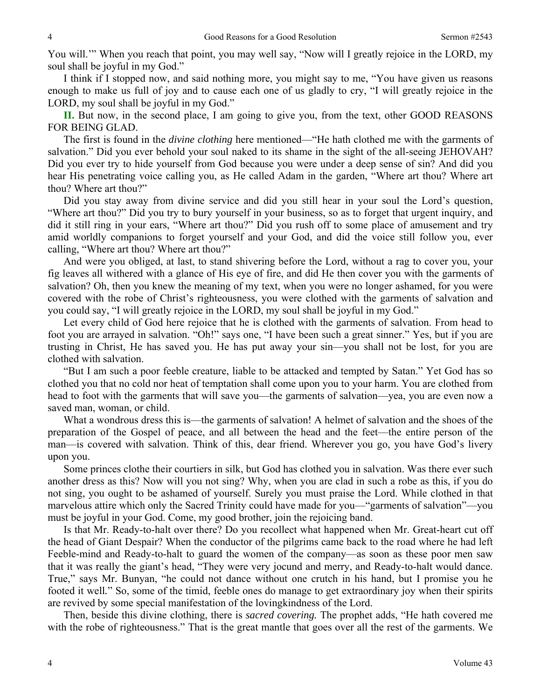You will.'" When you reach that point, you may well say, "Now will I greatly rejoice in the LORD, my soul shall be joyful in my God."

 I think if I stopped now, and said nothing more, you might say to me, "You have given us reasons enough to make us full of joy and to cause each one of us gladly to cry, "I will greatly rejoice in the LORD, my soul shall be joyful in my God."

**II.** But now, in the second place, I am going to give you, from the text, other GOOD REASONS FOR BEING GLAD.

 The first is found in the *divine clothing* here mentioned—"He hath clothed me with the garments of salvation." Did you ever behold your soul naked to its shame in the sight of the all-seeing JEHOVAH? Did you ever try to hide yourself from God because you were under a deep sense of sin? And did you hear His penetrating voice calling you, as He called Adam in the garden, "Where art thou? Where art thou? Where art thou?"

 Did you stay away from divine service and did you still hear in your soul the Lord's question, "Where art thou?" Did you try to bury yourself in your business, so as to forget that urgent inquiry, and did it still ring in your ears, "Where art thou?" Did you rush off to some place of amusement and try amid worldly companions to forget yourself and your God, and did the voice still follow you, ever calling, "Where art thou? Where art thou?"

 And were you obliged, at last, to stand shivering before the Lord, without a rag to cover you, your fig leaves all withered with a glance of His eye of fire, and did He then cover you with the garments of salvation? Oh, then you knew the meaning of my text, when you were no longer ashamed, for you were covered with the robe of Christ's righteousness, you were clothed with the garments of salvation and you could say, "I will greatly rejoice in the LORD, my soul shall be joyful in my God."

 Let every child of God here rejoice that he is clothed with the garments of salvation. From head to foot you are arrayed in salvation. "Oh!" says one, "I have been such a great sinner." Yes, but if you are trusting in Christ, He has saved you. He has put away your sin—you shall not be lost, for you are clothed with salvation.

 "But I am such a poor feeble creature, liable to be attacked and tempted by Satan." Yet God has so clothed you that no cold nor heat of temptation shall come upon you to your harm. You are clothed from head to foot with the garments that will save you—the garments of salvation—yea, you are even now a saved man, woman, or child.

 What a wondrous dress this is—the garments of salvation! A helmet of salvation and the shoes of the preparation of the Gospel of peace, and all between the head and the feet—the entire person of the man—is covered with salvation. Think of this, dear friend. Wherever you go, you have God's livery upon you.

 Some princes clothe their courtiers in silk, but God has clothed you in salvation. Was there ever such another dress as this? Now will you not sing? Why, when you are clad in such a robe as this, if you do not sing, you ought to be ashamed of yourself. Surely you must praise the Lord. While clothed in that marvelous attire which only the Sacred Trinity could have made for you—"garments of salvation"—you must be joyful in your God. Come, my good brother, join the rejoicing band.

 Is that Mr. Ready-to-halt over there? Do you recollect what happened when Mr. Great-heart cut off the head of Giant Despair? When the conductor of the pilgrims came back to the road where he had left Feeble-mind and Ready-to-halt to guard the women of the company—as soon as these poor men saw that it was really the giant's head, "They were very jocund and merry, and Ready-to-halt would dance. True," says Mr. Bunyan, "he could not dance without one crutch in his hand, but I promise you he footed it well*.*" So, some of the timid, feeble ones do manage to get extraordinary joy when their spirits are revived by some special manifestation of the lovingkindness of the Lord.

 Then, beside this divine clothing, there is *sacred covering.* The prophet adds, "He hath covered me with the robe of righteousness." That is the great mantle that goes over all the rest of the garments. We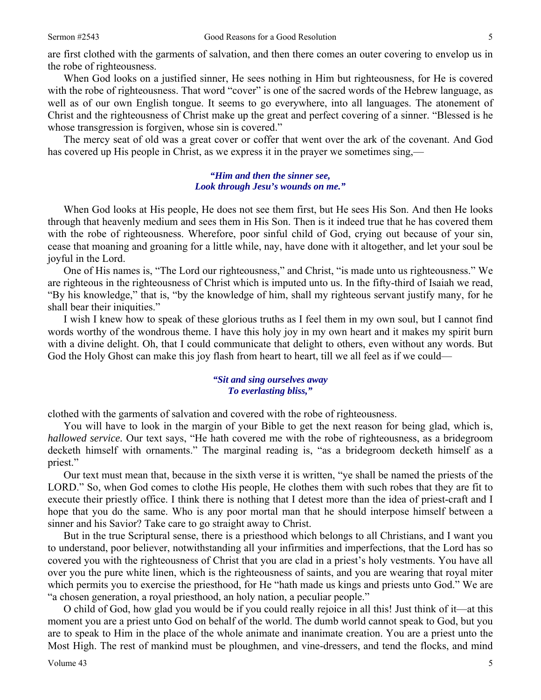are first clothed with the garments of salvation, and then there comes an outer covering to envelop us in the robe of righteousness.

 When God looks on a justified sinner, He sees nothing in Him but righteousness, for He is covered with the robe of righteousness. That word "cover" is one of the sacred words of the Hebrew language, as well as of our own English tongue. It seems to go everywhere, into all languages. The atonement of Christ and the righteousness of Christ make up the great and perfect covering of a sinner. "Blessed is he whose transgression is forgiven, whose sin is covered."

 The mercy seat of old was a great cover or coffer that went over the ark of the covenant. And God has covered up His people in Christ, as we express it in the prayer we sometimes sing,—

# *"Him and then the sinner see, Look through Jesu's wounds on me."*

When God looks at His people, He does not see them first, but He sees His Son. And then He looks through that heavenly medium and sees them in His Son. Then is it indeed true that he has covered them with the robe of righteousness. Wherefore, poor sinful child of God, crying out because of your sin, cease that moaning and groaning for a little while, nay, have done with it altogether, and let your soul be joyful in the Lord.

 One of His names is, "The Lord our righteousness," and Christ, "is made unto us righteousness." We are righteous in the righteousness of Christ which is imputed unto us. In the fifty-third of Isaiah we read, "By his knowledge," that is, "by the knowledge of him, shall my righteous servant justify many, for he shall bear their iniquities."

 I wish I knew how to speak of these glorious truths as I feel them in my own soul, but I cannot find words worthy of the wondrous theme. I have this holy joy in my own heart and it makes my spirit burn with a divine delight. Oh, that I could communicate that delight to others, even without any words. But God the Holy Ghost can make this joy flash from heart to heart, till we all feel as if we could—

## *"Sit and sing ourselves away To everlasting bliss,"*

clothed with the garments of salvation and covered with the robe of righteousness.

 You will have to look in the margin of your Bible to get the next reason for being glad, which is, *hallowed service.* Our text says, "He hath covered me with the robe of righteousness, as a bridegroom decketh himself with ornaments." The marginal reading is, "as a bridegroom decketh himself as a priest."

 Our text must mean that, because in the sixth verse it is written, "ye shall be named the priests of the LORD." So, when God comes to clothe His people, He clothes them with such robes that they are fit to execute their priestly office. I think there is nothing that I detest more than the idea of priest-craft and I hope that you do the same. Who is any poor mortal man that he should interpose himself between a sinner and his Savior? Take care to go straight away to Christ.

 But in the true Scriptural sense, there is a priesthood which belongs to all Christians, and I want you to understand, poor believer, notwithstanding all your infirmities and imperfections, that the Lord has so covered you with the righteousness of Christ that you are clad in a priest's holy vestments. You have all over you the pure white linen, which is the righteousness of saints, and you are wearing that royal miter which permits you to exercise the priesthood, for He "hath made us kings and priests unto God." We are "a chosen generation, a royal priesthood, an holy nation, a peculiar people."

 O child of God, how glad you would be if you could really rejoice in all this! Just think of it—at this moment you are a priest unto God on behalf of the world. The dumb world cannot speak to God, but you are to speak to Him in the place of the whole animate and inanimate creation. You are a priest unto the Most High. The rest of mankind must be ploughmen, and vine-dressers, and tend the flocks, and mind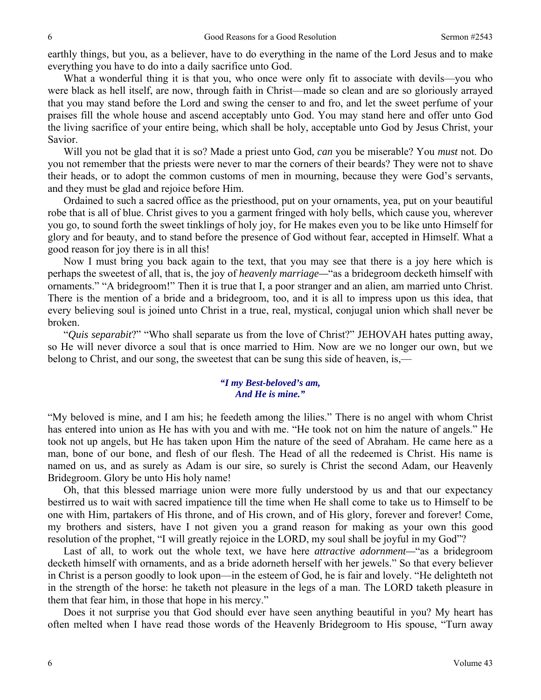earthly things, but you, as a believer, have to do everything in the name of the Lord Jesus and to make everything you have to do into a daily sacrifice unto God.

What a wonderful thing it is that you, who once were only fit to associate with devils—you who were black as hell itself, are now, through faith in Christ—made so clean and are so gloriously arrayed that you may stand before the Lord and swing the censer to and fro, and let the sweet perfume of your praises fill the whole house and ascend acceptably unto God. You may stand here and offer unto God the living sacrifice of your entire being, which shall be holy, acceptable unto God by Jesus Christ, your Savior.

 Will you not be glad that it is so? Made a priest unto God*, can* you be miserable? You *must* not. Do you not remember that the priests were never to mar the corners of their beards? They were not to shave their heads, or to adopt the common customs of men in mourning, because they were God's servants, and they must be glad and rejoice before Him.

 Ordained to such a sacred office as the priesthood, put on your ornaments, yea, put on your beautiful robe that is all of blue. Christ gives to you a garment fringed with holy bells, which cause you, wherever you go, to sound forth the sweet tinklings of holy joy, for He makes even you to be like unto Himself for glory and for beauty, and to stand before the presence of God without fear, accepted in Himself. What a good reason for joy there is in all this!

 Now I must bring you back again to the text, that you may see that there is a joy here which is perhaps the sweetest of all, that is, the joy of *heavenly marriage—*"as a bridegroom decketh himself with ornaments." "A bridegroom!" Then it is true that I, a poor stranger and an alien, am married unto Christ. There is the mention of a bride and a bridegroom, too, and it is all to impress upon us this idea, that every believing soul is joined unto Christ in a true, real, mystical, conjugal union which shall never be broken.

 "*Quis separabit*?" "Who shall separate us from the love of Christ?" JEHOVAH hates putting away, so He will never divorce a soul that is once married to Him. Now are we no longer our own, but we belong to Christ, and our song, the sweetest that can be sung this side of heaven, is,—

## *"I my Best-beloved's am, And He is mine."*

"My beloved is mine, and I am his; he feedeth among the lilies." There is no angel with whom Christ has entered into union as He has with you and with me. "He took not on him the nature of angels." He took not up angels, but He has taken upon Him the nature of the seed of Abraham. He came here as a man, bone of our bone, and flesh of our flesh. The Head of all the redeemed is Christ. His name is named on us, and as surely as Adam is our sire, so surely is Christ the second Adam, our Heavenly Bridegroom. Glory be unto His holy name!

 Oh, that this blessed marriage union were more fully understood by us and that our expectancy bestirred us to wait with sacred impatience till the time when He shall come to take us to Himself to be one with Him, partakers of His throne, and of His crown, and of His glory, forever and forever! Come, my brothers and sisters, have I not given you a grand reason for making as your own this good resolution of the prophet, "I will greatly rejoice in the LORD, my soul shall be joyful in my God"?

 Last of all, to work out the whole text, we have here *attractive adornment—*"as a bridegroom decketh himself with ornaments, and as a bride adorneth herself with her jewels." So that every believer in Christ is a person goodly to look upon—in the esteem of God, he is fair and lovely. "He delighteth not in the strength of the horse: he taketh not pleasure in the legs of a man. The LORD taketh pleasure in them that fear him, in those that hope in his mercy."

 Does it not surprise you that God should ever have seen anything beautiful in you? My heart has often melted when I have read those words of the Heavenly Bridegroom to His spouse, "Turn away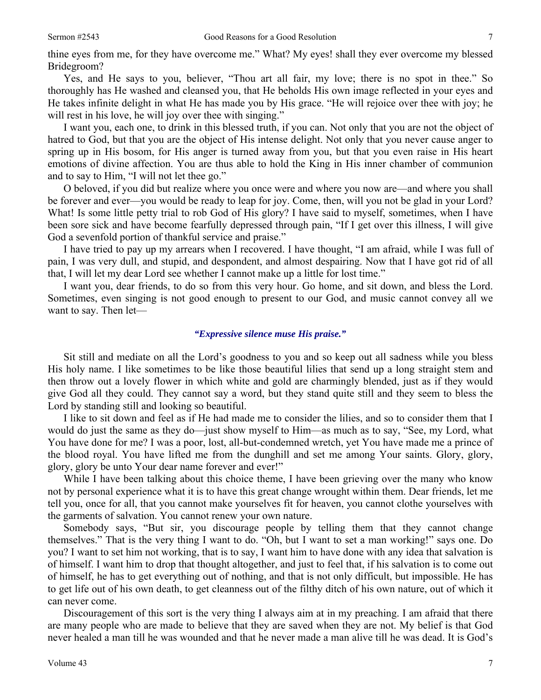thine eyes from me, for they have overcome me." What? My eyes! shall they ever overcome my blessed Bridegroom?

 Yes, and He says to you, believer, "Thou art all fair, my love; there is no spot in thee." So thoroughly has He washed and cleansed you, that He beholds His own image reflected in your eyes and He takes infinite delight in what He has made you by His grace. "He will rejoice over thee with joy; he will rest in his love, he will joy over thee with singing."

 I want you, each one, to drink in this blessed truth, if you can. Not only that you are not the object of hatred to God, but that you are the object of His intense delight. Not only that you never cause anger to spring up in His bosom, for His anger is turned away from you, but that you even raise in His heart emotions of divine affection. You are thus able to hold the King in His inner chamber of communion and to say to Him, "I will not let thee go."

 O beloved, if you did but realize where you once were and where you now are—and where you shall be forever and ever—you would be ready to leap for joy. Come, then, will you not be glad in your Lord? What! Is some little petty trial to rob God of His glory? I have said to myself, sometimes, when I have been sore sick and have become fearfully depressed through pain, "If I get over this illness, I will give God a sevenfold portion of thankful service and praise."

 I have tried to pay up my arrears when I recovered. I have thought, "I am afraid, while I was full of pain, I was very dull, and stupid, and despondent, and almost despairing. Now that I have got rid of all that, I will let my dear Lord see whether I cannot make up a little for lost time."

 I want you, dear friends, to do so from this very hour. Go home, and sit down, and bless the Lord. Sometimes, even singing is not good enough to present to our God, and music cannot convey all we want to say. Then let—

#### *"Expressive silence muse His praise."*

 Sit still and mediate on all the Lord's goodness to you and so keep out all sadness while you bless His holy name. I like sometimes to be like those beautiful lilies that send up a long straight stem and then throw out a lovely flower in which white and gold are charmingly blended, just as if they would give God all they could. They cannot say a word, but they stand quite still and they seem to bless the Lord by standing still and looking so beautiful.

 I like to sit down and feel as if He had made me to consider the lilies, and so to consider them that I would do just the same as they do—just show myself to Him—as much as to say, "See, my Lord, what You have done for me? I was a poor, lost, all-but-condemned wretch, yet You have made me a prince of the blood royal. You have lifted me from the dunghill and set me among Your saints. Glory, glory, glory, glory be unto Your dear name forever and ever!"

While I have been talking about this choice theme, I have been grieving over the many who know not by personal experience what it is to have this great change wrought within them. Dear friends, let me tell you, once for all, that you cannot make yourselves fit for heaven, you cannot clothe yourselves with the garments of salvation. You cannot renew your own nature.

 Somebody says, "But sir, you discourage people by telling them that they cannot change themselves." That is the very thing I want to do. "Oh, but I want to set a man working!" says one. Do you? I want to set him not working, that is to say, I want him to have done with any idea that salvation is of himself. I want him to drop that thought altogether, and just to feel that, if his salvation is to come out of himself, he has to get everything out of nothing, and that is not only difficult, but impossible. He has to get life out of his own death, to get cleanness out of the filthy ditch of his own nature, out of which it can never come.

 Discouragement of this sort is the very thing I always aim at in my preaching. I am afraid that there are many people who are made to believe that they are saved when they are not. My belief is that God never healed a man till he was wounded and that he never made a man alive till he was dead. It is God's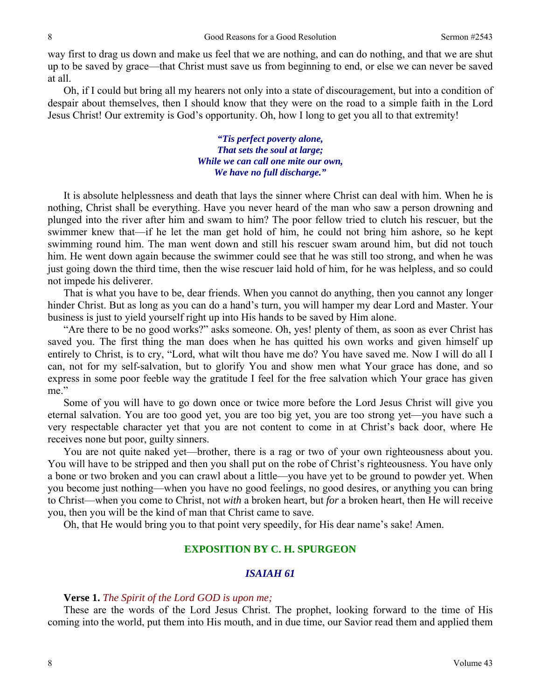way first to drag us down and make us feel that we are nothing, and can do nothing, and that we are shut up to be saved by grace—that Christ must save us from beginning to end, or else we can never be saved at all.

 Oh, if I could but bring all my hearers not only into a state of discouragement, but into a condition of despair about themselves, then I should know that they were on the road to a simple faith in the Lord Jesus Christ! Our extremity is God's opportunity. Oh, how I long to get you all to that extremity!

> *"Tis perfect poverty alone, That sets the soul at large; While we can call one mite our own, We have no full discharge."*

It is absolute helplessness and death that lays the sinner where Christ can deal with him. When he is nothing, Christ shall be everything. Have you never heard of the man who saw a person drowning and plunged into the river after him and swam to him? The poor fellow tried to clutch his rescuer, but the swimmer knew that—if he let the man get hold of him, he could not bring him ashore, so he kept swimming round him. The man went down and still his rescuer swam around him, but did not touch him. He went down again because the swimmer could see that he was still too strong, and when he was just going down the third time, then the wise rescuer laid hold of him, for he was helpless, and so could not impede his deliverer.

 That is what you have to be, dear friends. When you cannot do anything, then you cannot any longer hinder Christ. But as long as you can do a hand's turn, you will hamper my dear Lord and Master. Your business is just to yield yourself right up into His hands to be saved by Him alone.

 "Are there to be no good works?" asks someone. Oh, yes! plenty of them, as soon as ever Christ has saved you. The first thing the man does when he has quitted his own works and given himself up entirely to Christ, is to cry, "Lord, what wilt thou have me do? You have saved me. Now I will do all I can, not for my self-salvation, but to glorify You and show men what Your grace has done, and so express in some poor feeble way the gratitude I feel for the free salvation which Your grace has given me."

 Some of you will have to go down once or twice more before the Lord Jesus Christ will give you eternal salvation. You are too good yet, you are too big yet, you are too strong yet—you have such a very respectable character yet that you are not content to come in at Christ's back door, where He receives none but poor, guilty sinners.

 You are not quite naked yet—brother, there is a rag or two of your own righteousness about you. You will have to be stripped and then you shall put on the robe of Christ's righteousness. You have only a bone or two broken and you can crawl about a little—you have yet to be ground to powder yet. When you become just nothing—when you have no good feelings, no good desires, or anything you can bring to Christ—when you come to Christ, not *with* a broken heart, but *for* a broken heart, then He will receive you, then you will be the kind of man that Christ came to save.

Oh, that He would bring you to that point very speedily, for His dear name's sake! Amen.

#### **EXPOSITION BY C. H. SPURGEON**

## *ISAIAH 61*

#### **Verse 1.** *The Spirit of the Lord GOD is upon me;*

These are the words of the Lord Jesus Christ. The prophet, looking forward to the time of His coming into the world, put them into His mouth, and in due time, our Savior read them and applied them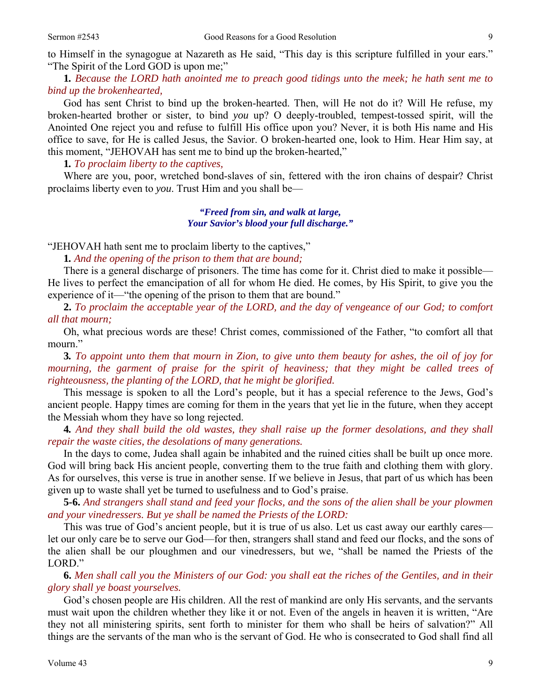to Himself in the synagogue at Nazareth as He said, "This day is this scripture fulfilled in your ears." "The Spirit of the Lord GOD is upon me;"

**1***. Because the LORD hath anointed me to preach good tidings unto the meek; he hath sent me to bind up the brokenhearted,* 

God has sent Christ to bind up the broken-hearted. Then, will He not do it? Will He refuse, my broken-hearted brother or sister, to bind *you* up? O deeply-troubled, tempest-tossed spirit, will the Anointed One reject you and refuse to fulfill His office upon you? Never, it is both His name and His office to save, for He is called Jesus, the Savior. O broken-hearted one, look to Him. Hear Him say, at this moment, "JEHOVAH has sent me to bind up the broken-hearted,"

## **1***. To proclaim liberty to the captives,*

Where are you, poor, wretched bond-slaves of sin, fettered with the iron chains of despair? Christ proclaims liberty even to *you*. Trust Him and you shall be—

> *"Freed from sin, and walk at large, Your Savior's blood your full discharge."*

"JEHOVAH hath sent me to proclaim liberty to the captives,"

**1***. And the opening of the prison to them that are bound;* 

There is a general discharge of prisoners. The time has come for it. Christ died to make it possible— He lives to perfect the emancipation of all for whom He died. He comes, by His Spirit, to give you the experience of it—"the opening of the prison to them that are bound."

**2.** *To proclaim the acceptable year of the LORD, and the day of vengeance of our God; to comfort all that mourn;* 

Oh, what precious words are these! Christ comes, commissioned of the Father, "to comfort all that mourn."

**3***. To appoint unto them that mourn in Zion, to give unto them beauty for ashes, the oil of joy for mourning, the garment of praise for the spirit of heaviness; that they might be called trees of righteousness, the planting of the LORD, that he might be glorified.* 

This message is spoken to all the Lord's people, but it has a special reference to the Jews, God's ancient people. Happy times are coming for them in the years that yet lie in the future, when they accept the Messiah whom they have so long rejected.

**4***. And they shall build the old wastes, they shall raise up the former desolations, and they shall repair the waste cities, the desolations of many generations.* 

In the days to come, Judea shall again be inhabited and the ruined cities shall be built up once more. God will bring back His ancient people, converting them to the true faith and clothing them with glory. As for ourselves, this verse is true in another sense. If we believe in Jesus, that part of us which has been given up to waste shall yet be turned to usefulness and to God's praise.

**5-6.** *And strangers shall stand and feed your flocks, and the sons of the alien shall be your plowmen and your vinedressers. But ye shall be named the Priests of the LORD:* 

This was true of God's ancient people, but it is true of us also. Let us cast away our earthly cares let our only care be to serve our God—for then, strangers shall stand and feed our flocks, and the sons of the alien shall be our ploughmen and our vinedressers, but we, "shall be named the Priests of the LORD."

**6.** *Men shall call you the Ministers of our God: you shall eat the riches of the Gentiles, and in their glory shall ye boast yourselves.* 

God's chosen people are His children. All the rest of mankind are only His servants, and the servants must wait upon the children whether they like it or not. Even of the angels in heaven it is written, "Are they not all ministering spirits, sent forth to minister for them who shall be heirs of salvation?" All things are the servants of the man who is the servant of God. He who is consecrated to God shall find all